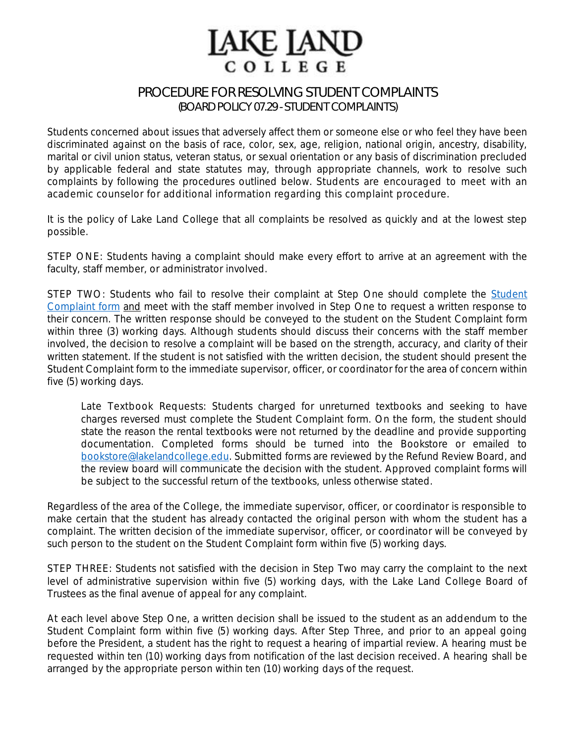## **IAKE IAND** COLLEGE

## PROCEDURE FOR RESOLVING STUDENT COMPLAINTS (BOARD POLICY 07.29 -STUDENT COMPLAINTS)

Students concerned about issues that adversely affect them or someone else or who feel they have been discriminated against on the basis of race, color, sex, age, religion, national origin, ancestry, disability, marital or civil union status, veteran status, or sexual orientation or any basis of discrimination precluded by applicable federal and state statutes may, through appropriate channels, work to resolve such complaints by following the procedures outlined below. *Students are encouraged to meet with an academic counselor for additional information regarding this complaint procedure.*

It is the policy of Lake Land College that all complaints be resolved as quickly and at the lowest step possible.

STEP ONE: Students having a complaint should make every effort to arrive at an agreement with the faculty, staff member, or administrator involved.

STEP TWO: [Student](https://www.lakelandcollege.edu/wp-content/uploads/2016/09/CAB-STUDENT-COMPLAINT-INTERACTIVE-FR-0217.pdf)s who fail to resolve their complaint at Step One should complete the Student [Complaint](https://www.lakelandcollege.edu/wp-content/uploads/2016/09/CAB-STUDENT-COMPLAINT-INTERACTIVE-FR-0217.pdf) form and meet with the staff member involved in Step One to request a written response to their concern. The written response should be conveyed to the student on the Student Complaint form within three (3) working days. Although students should discuss their concerns with the staff member involved, the decision to resolve a complaint will be based on the strength, accuracy, and clarity of their written statement. If the student is not satisfied with the written decision, the student should present the Student Complaint form to the immediate supervisor, officer, or coordinator for the area of concern within five (5) working days.

Late Textbook Requests: Students charged for unreturned textbooks and seeking to have charges reversed must complete the Student Complaint form. On the form, the student should state the reason the rental textbooks were not returned by the deadline and provide supporting documentation. Completed forms should be turned into the Bookstore or emailed to [bookstore@lakelandcollege.edu.](mailto:bookstore@lakelandcollege.edu) Submitted forms are reviewed by the Refund Review Board, and the review board will communicate the decision with the student. Approved complaint forms will be subject to the successful return of the textbooks, unless otherwise stated.

Regardless of the area of the College, the immediate supervisor, officer, or coordinator is responsible to make certain that the student has already contacted the original person with whom the student has a complaint. The written decision of the immediate supervisor, officer, or coordinator will be conveyed by such person to the student on the Student Complaint form within five (5) working days.

STEP THREE: Students not satisfied with the decision in Step Two may carry the complaint to the next level of administrative supervision within five (5) working days, with the Lake Land College Board of Trustees as the final avenue of appeal for any complaint.

At each level above Step One, a written decision shall be issued to the student as an addendum to the Student Complaint form within five (5) working days. After Step Three, and prior to an appeal going before the President, a student has the right to request a hearing of impartial review. A hearing must be requested within ten (10) working days from notification of the last decision received. A hearing shall be arranged by the appropriate person within ten (10) working days of the request.